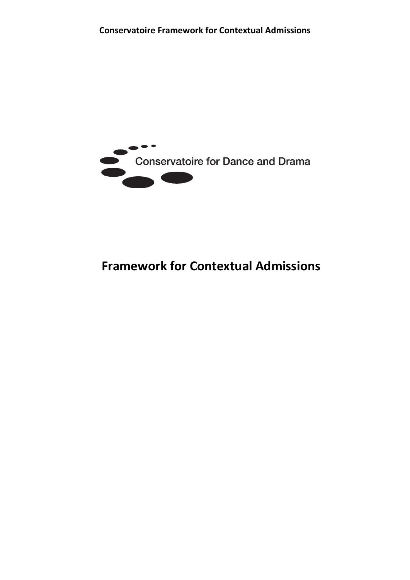

# **Framework for Contextual Admissions**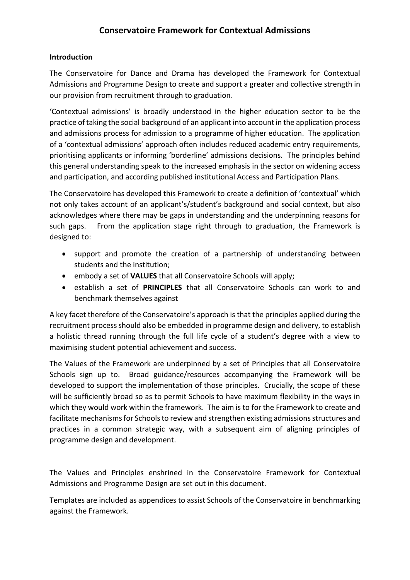#### **Conservatoire Framework for Contextual Admissions**

#### **Introduction**

The Conservatoire for Dance and Drama has developed the Framework for Contextual Admissions and Programme Design to create and support a greater and collective strength in our provision from recruitment through to graduation.

'Contextual admissions' is broadly understood in the higher education sector to be the practice of taking the social background of an applicant into account in the application process and admissions process for admission to a programme of higher education. The application of a 'contextual admissions' approach often includes reduced academic entry requirements, prioritising applicants or informing 'borderline' admissions decisions. The principles behind this general understanding speak to the increased emphasis in the sector on widening access and participation, and according published institutional Access and Participation Plans.

The Conservatoire has developed this Framework to create a definition of 'contextual' which not only takes account of an applicant's/student's background and social context, but also acknowledges where there may be gaps in understanding and the underpinning reasons for such gaps. From the application stage right through to graduation, the Framework is designed to:

- support and promote the creation of a partnership of understanding between students and the institution;
- embody a set of **VALUES** that all Conservatoire Schools will apply;
- establish a set of **PRINCIPLES** that all Conservatoire Schools can work to and benchmark themselves against

A key facet therefore of the Conservatoire's approach is that the principles applied during the recruitment process should also be embedded in programme design and delivery, to establish a holistic thread running through the full life cycle of a student's degree with a view to maximising student potential achievement and success.

The Values of the Framework are underpinned by a set of Principles that all Conservatoire Schools sign up to. Broad guidance/resources accompanying the Framework will be developed to support the implementation of those principles. Crucially, the scope of these will be sufficiently broad so as to permit Schools to have maximum flexibility in the ways in which they would work within the framework. The aim is to for the Framework to create and facilitate mechanisms for Schools to review and strengthen existing admissions structures and practices in a common strategic way, with a subsequent aim of aligning principles of programme design and development.

The Values and Principles enshrined in the Conservatoire Framework for Contextual Admissions and Programme Design are set out in this document.

Templates are included as appendices to assist Schools of the Conservatoire in benchmarking against the Framework.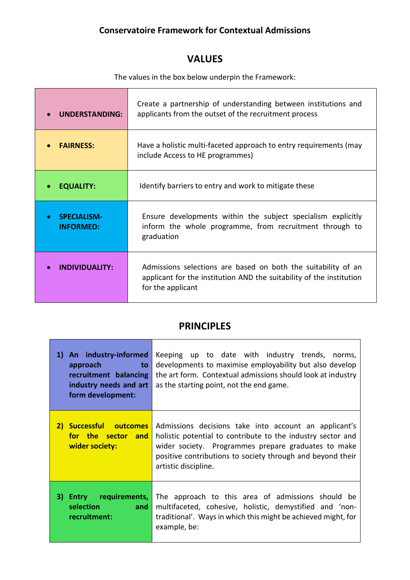#### **Conservatoire Framework for Contextual Admissions**

## **VALUES**

The values in the box below underpin the Framework:

| <b>UNDERSTANDING:</b>                               | Create a partnership of understanding between institutions and<br>applicants from the outset of the recruitment process                                    |
|-----------------------------------------------------|------------------------------------------------------------------------------------------------------------------------------------------------------------|
| <b>FAIRNESS:</b>                                    | Have a holistic multi-faceted approach to entry requirements (may<br>include Access to HE programmes)                                                      |
| <b>EQUALITY:</b>                                    | Identify barriers to entry and work to mitigate these                                                                                                      |
| <b>SPECIALISM-</b><br>$\bullet$<br><b>INFORMED:</b> | Ensure developments within the subject specialism explicitly<br>inform the whole programme, from recruitment through to<br>graduation                      |
| INDIVIDUALITY:                                      | Admissions selections are based on both the suitability of an<br>applicant for the institution AND the suitability of the institution<br>for the applicant |

#### **PRINCIPLES**

÷,

٦

| An industry-informed<br>1)<br>approach<br>to<br>recruitment balancing<br>industry needs and art<br>form development: | Keeping up to date with industry trends, norms,<br>developments to maximise employability but also develop<br>the art form. Contextual admissions should look at industry<br>as the starting point, not the end game.                                             |
|----------------------------------------------------------------------------------------------------------------------|-------------------------------------------------------------------------------------------------------------------------------------------------------------------------------------------------------------------------------------------------------------------|
| Successful outcomes<br>$\mathbf{2}$<br>for the sector and<br>wider society:                                          | Admissions decisions take into account an applicant's<br>holistic potential to contribute to the industry sector and<br>wider society. Programmes prepare graduates to make<br>positive contributions to society through and beyond their<br>artistic discipline. |
| requirements,<br>31.<br><b>Entry</b><br>selection<br>and<br>recruitment:                                             | The approach to this area of admissions should be<br>multifaceted, cohesive, holistic, demystified and 'non-<br>traditional'. Ways in which this might be achieved might, for<br>example, be:                                                                     |